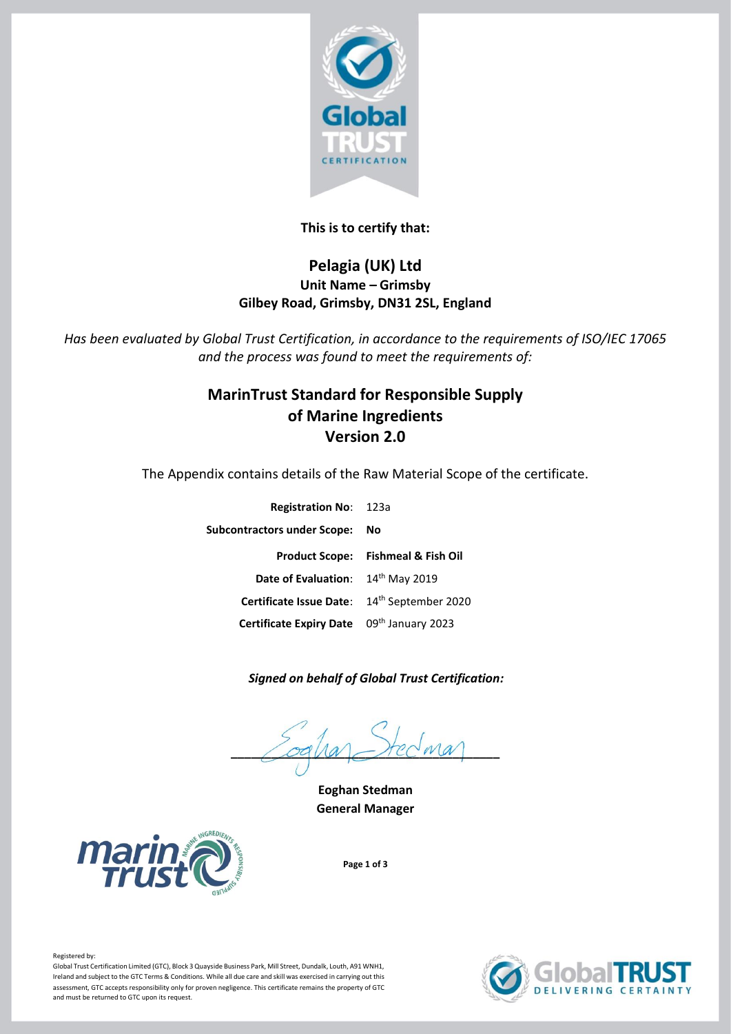

## **This is to certify that:**

## **Pelagia (UK) Ltd Unit Name – Grimsby Gilbey Road, Grimsby, DN31 2SL, England**

*Has been evaluated by Global Trust Certification, in accordance to the requirements of ISO/IEC 17065 and the process was found to meet the requirements of:*

# **MarinTrust Standard for Responsible Supply of Marine Ingredients Version 2.0**

The Appendix contains details of the Raw Material Scope of the certificate.

| <b>Registration No: 123a</b>                |                                               |
|---------------------------------------------|-----------------------------------------------|
| <b>Subcontractors under Scope:</b>          | No                                            |
|                                             | <b>Product Scope: Fishmeal &amp; Fish Oil</b> |
| Date of Evaluation: 14th May 2019           |                                               |
| Certificate Issue Date: 14th September 2020 |                                               |
| Certificate Expiry Date 09th January 2023   |                                               |

### *Signed on behalf of Global Trust Certification:*

 $\angle$  ogua – rec wa

**Eoghan Stedman General Manager**



**Page 1 of 3**



Global Trust Certification Limited (GTC), Block 3 Quayside Business Park, Mill Street, Dundalk, Louth, A91 WNH1, Ireland and subject to the GTC Terms & Conditions. While all due care and skill was exercised in carrying out this assessment, GTC accepts responsibility only for proven negligence. This certificate remains the property of GTC and must be returned to GTC upon its request.

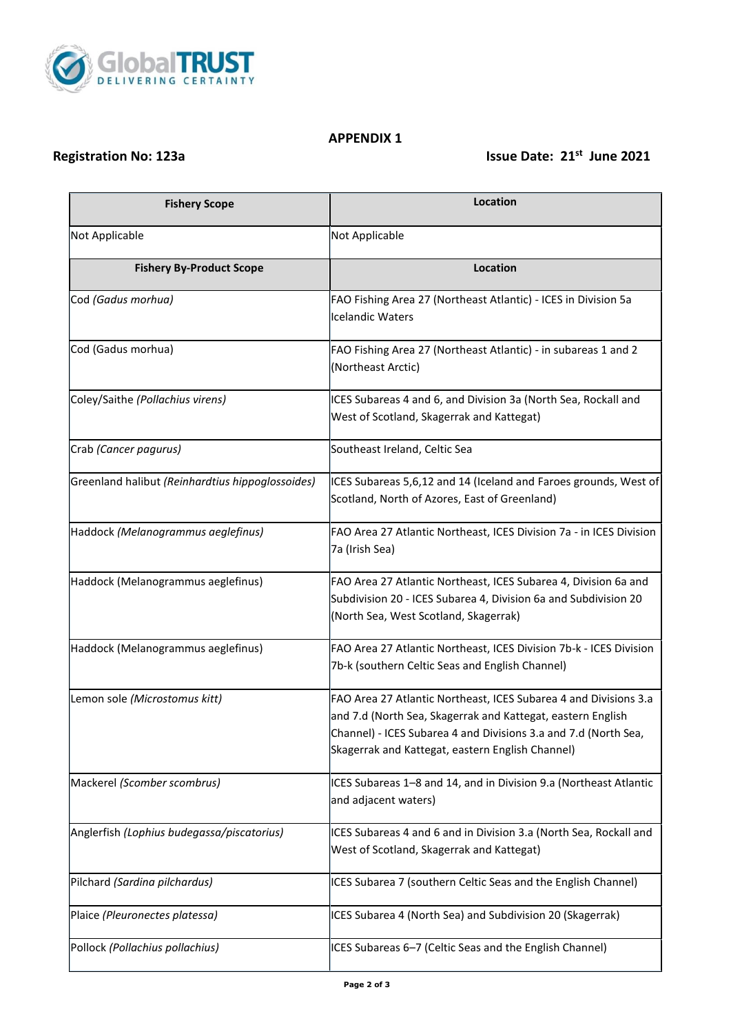

#### **APPENDIX 1**

# **Registration No: 123a** Issue Date: 21<sup>st</sup> June 2021

| <b>Fishery Scope</b>                             | Location                                                                                                                                                                                                                                               |
|--------------------------------------------------|--------------------------------------------------------------------------------------------------------------------------------------------------------------------------------------------------------------------------------------------------------|
| Not Applicable                                   | Not Applicable                                                                                                                                                                                                                                         |
| <b>Fishery By-Product Scope</b>                  | Location                                                                                                                                                                                                                                               |
| Cod (Gadus morhua)                               | FAO Fishing Area 27 (Northeast Atlantic) - ICES in Division 5a<br>Icelandic Waters                                                                                                                                                                     |
| Cod (Gadus morhua)                               | FAO Fishing Area 27 (Northeast Atlantic) - in subareas 1 and 2<br>(Northeast Arctic)                                                                                                                                                                   |
| Coley/Saithe (Pollachius virens)                 | ICES Subareas 4 and 6, and Division 3a (North Sea, Rockall and<br>West of Scotland, Skagerrak and Kattegat)                                                                                                                                            |
| Crab (Cancer pagurus)                            | Southeast Ireland, Celtic Sea                                                                                                                                                                                                                          |
| Greenland halibut (Reinhardtius hippoglossoides) | ICES Subareas 5,6,12 and 14 (Iceland and Faroes grounds, West of<br>Scotland, North of Azores, East of Greenland)                                                                                                                                      |
| Haddock (Melanogrammus aeglefinus)               | FAO Area 27 Atlantic Northeast, ICES Division 7a - in ICES Division<br>7a (Irish Sea)                                                                                                                                                                  |
| Haddock (Melanogrammus aeglefinus)               | FAO Area 27 Atlantic Northeast, ICES Subarea 4, Division 6a and<br>Subdivision 20 - ICES Subarea 4, Division 6a and Subdivision 20<br>(North Sea, West Scotland, Skagerrak)                                                                            |
| Haddock (Melanogrammus aeglefinus)               | FAO Area 27 Atlantic Northeast, ICES Division 7b-k - ICES Division<br>7b-k (southern Celtic Seas and English Channel)                                                                                                                                  |
| Lemon sole (Microstomus kitt)                    | FAO Area 27 Atlantic Northeast, ICES Subarea 4 and Divisions 3.a<br>and 7.d (North Sea, Skagerrak and Kattegat, eastern English<br>Channel) - ICES Subarea 4 and Divisions 3.a and 7.d (North Sea,<br>Skagerrak and Kattegat, eastern English Channel) |
| Mackerel (Scomber scombrus)                      | ICES Subareas 1-8 and 14, and in Division 9.a (Northeast Atlantic<br>and adjacent waters)                                                                                                                                                              |
| Anglerfish (Lophius budegassa/piscatorius)       | ICES Subareas 4 and 6 and in Division 3.a (North Sea, Rockall and<br>West of Scotland, Skagerrak and Kattegat)                                                                                                                                         |
| Pilchard (Sardina pilchardus)                    | ICES Subarea 7 (southern Celtic Seas and the English Channel)                                                                                                                                                                                          |
| Plaice (Pleuronectes platessa)                   | ICES Subarea 4 (North Sea) and Subdivision 20 (Skagerrak)                                                                                                                                                                                              |
| Pollock (Pollachius pollachius)                  | ICES Subareas 6-7 (Celtic Seas and the English Channel)                                                                                                                                                                                                |